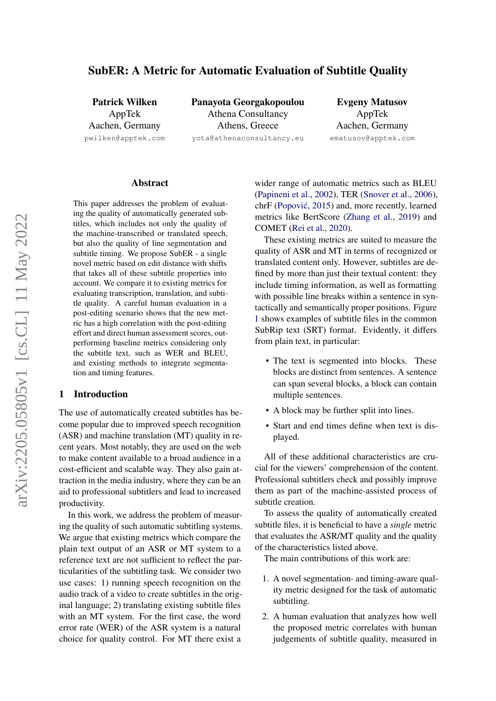# SubER: A Metric for Automatic Evaluation of Subtitle Quality

Patrick Wilken AppTek Aachen, Germany pwilken@apptek.com Panayota Georgakopoulou Athena Consultancy Athens, Greece yota@athenaconsultancy.eu

Evgeny Matusov AppTek Aachen, Germany ematusov@apptek.com

## Abstract

This paper addresses the problem of evaluating the quality of automatically generated subtitles, which includes not only the quality of the machine-transcribed or translated speech, but also the quality of line segmentation and subtitle timing. We propose SubER - a single novel metric based on edit distance with shifts that takes all of these subtitle properties into account. We compare it to existing metrics for evaluating transcription, translation, and subtitle quality. A careful human evaluation in a post-editing scenario shows that the new metric has a high correlation with the post-editing effort and direct human assessment scores, outperforming baseline metrics considering only the subtitle text, such as WER and BLEU, and existing methods to integrate segmentation and timing features.

## 1 Introduction

The use of automatically created subtitles has become popular due to improved speech recognition (ASR) and machine translation (MT) quality in recent years. Most notably, they are used on the web to make content available to a broad audience in a cost-efficient and scalable way. They also gain attraction in the media industry, where they can be an aid to professional subtitlers and lead to increased productivity.

In this work, we address the problem of measuring the quality of such automatic subtitling systems. We argue that existing metrics which compare the plain text output of an ASR or MT system to a reference text are not sufficient to reflect the particularities of the subtitling task. We consider two use cases: 1) running speech recognition on the audio track of a video to create subtitles in the original language; 2) translating existing subtitle files with an MT system. For the first case, the word error rate (WER) of the ASR system is a natural choice for quality control. For MT there exist a

wider range of automatic metrics such as BLEU [\(Papineni et al.,](#page-8-0) [2002\)](#page-8-0), TER [\(Snover et al.,](#page-9-0) [2006\)](#page-9-0), chrF (Popović, [2015\)](#page-8-1) and, more recently, learned metrics like BertScore [\(Zhang et al.,](#page-9-1) [2019\)](#page-9-1) and COMET [\(Rei et al.,](#page-8-2) [2020\)](#page-8-2).

These existing metrics are suited to measure the quality of ASR and MT in terms of recognized or translated content only. However, subtitles are defined by more than just their textual content: they include timing information, as well as formatting with possible line breaks within a sentence in syntactically and semantically proper positions. Figure [1](#page-1-0) shows examples of subtitle files in the common SubRip text (SRT) format. Evidently, it differs from plain text, in particular:

- The text is segmented into blocks. These blocks are distinct from sentences. A sentence can span several blocks, a block can contain multiple sentences.
- A block may be further split into lines.
- Start and end times define when text is displayed.

All of these additional characteristics are crucial for the viewers' comprehension of the content. Professional subtitlers check and possibly improve them as part of the machine-assisted process of subtitle creation.

To assess the quality of automatically created subtitle files, it is beneficial to have a *single* metric that evaluates the ASR/MT quality and the quality of the characteristics listed above.

The main contributions of this work are:

- 1. A novel segmentation- and timing-aware quality metric designed for the task of automatic subtitling.
- 2. A human evaluation that analyzes how well the proposed metric correlates with human judgements of subtitle quality, measured in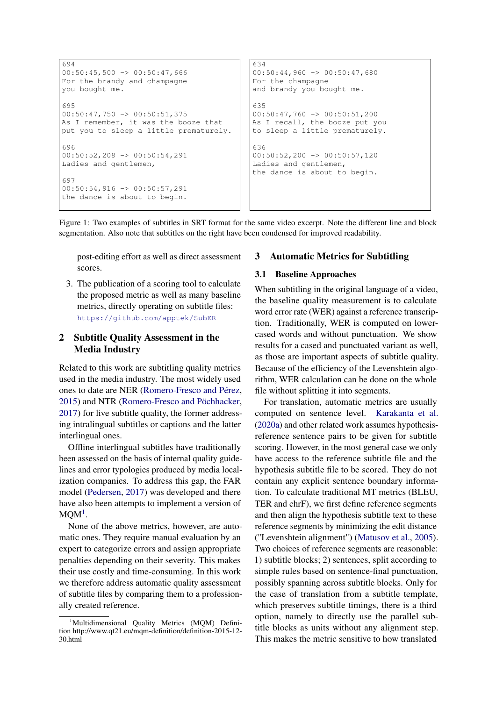```
694
00:50:45,500 \rightarrow 00:50:47,666For the brandy and champagne
you bought me.
695
00:50:47,750 \rightarrow 00:50:51,375As I remember, it was the booze that
put you to sleep a little prematurely.
696
00:50:52,208 -> 00:50:54,291
Ladies and gentlemen,
697
00:50:54,916 -> 00:50:57,291the dance is about to begin.
                                              634
                                              00:50:44,960 -> 00:50:47,680For the champagne
                                              and brandy you bought me.
                                              635
                                              00:50:47,760 \rightarrow 00:50:51,200As I recall, the booze put you
                                              to sleep a little prematurely.
                                              636
                                              00:50:52,200 \rightarrow 00:50:57,120Ladies and gentlemen,
                                              the dance is about to begin.
```
Figure 1: Two examples of subtitles in SRT format for the same video excerpt. Note the different line and block segmentation. Also note that subtitles on the right have been condensed for improved readability.

post-editing effort as well as direct assessment scores.

3. The publication of a scoring tool to calculate the proposed metric as well as many baseline metrics, directly operating on subtitle files: <https://github.com/apptek/SubER>

## 2 Subtitle Quality Assessment in the Media Industry

Related to this work are subtitling quality metrics used in the media industry. The most widely used ones to date are NER [\(Romero-Fresco and Pérez,](#page-9-2) [2015\)](#page-9-2) and NTR [\(Romero-Fresco and Pöchhacker,](#page-9-3) [2017\)](#page-9-3) for live subtitle quality, the former addressing intralingual subtitles or captions and the latter interlingual ones.

Offline interlingual subtitles have traditionally been assessed on the basis of internal quality guidelines and error typologies produced by media localization companies. To address this gap, the FAR model [\(Pedersen,](#page-8-3) [2017\)](#page-8-3) was developed and there have also been attempts to implement a version of  $MQM<sup>1</sup>$  $MQM<sup>1</sup>$  $MQM<sup>1</sup>$ .

None of the above metrics, however, are automatic ones. They require manual evaluation by an expert to categorize errors and assign appropriate penalties depending on their severity. This makes their use costly and time-consuming. In this work we therefore address automatic quality assessment of subtitle files by comparing them to a professionally created reference.

## 3 Automatic Metrics for Subtitling

## <span id="page-1-2"></span>3.1 Baseline Approaches

When subtitling in the original language of a video, the baseline quality measurement is to calculate word error rate (WER) against a reference transcription. Traditionally, WER is computed on lowercased words and without punctuation. We show results for a cased and punctuated variant as well, as those are important aspects of subtitle quality. Because of the efficiency of the Levenshtein algorithm, WER calculation can be done on the whole file without splitting it into segments.

For translation, automatic metrics are usually computed on sentence level. [Karakanta et al.](#page-8-4) [\(2020a\)](#page-8-4) and other related work assumes hypothesisreference sentence pairs to be given for subtitle scoring. However, in the most general case we only have access to the reference subtitle file and the hypothesis subtitle file to be scored. They do not contain any explicit sentence boundary information. To calculate traditional MT metrics (BLEU, TER and chrF), we first define reference segments and then align the hypothesis subtitle text to these reference segments by minimizing the edit distance ("Levenshtein alignment") [\(Matusov et al.,](#page-8-5) [2005\)](#page-8-5). Two choices of reference segments are reasonable: 1) subtitle blocks; 2) sentences, split according to simple rules based on sentence-final punctuation, possibly spanning across subtitle blocks. Only for the case of translation from a subtitle template, which preserves subtitle timings, there is a third option, namely to directly use the parallel subtitle blocks as units without any alignment step. This makes the metric sensitive to how translated

<span id="page-1-1"></span><sup>&</sup>lt;sup>1</sup>Multidimensional Quality Metrics (MQM) Definition http://www.qt21.eu/mqm-definition/definition-2015-12- 30.html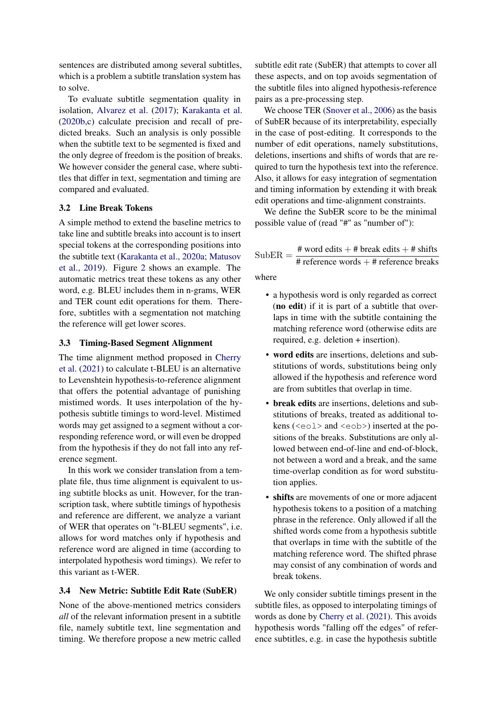sentences are distributed among several subtitles, which is a problem a subtitle translation system has to solve.

To evaluate subtitle segmentation quality in isolation, [Alvarez et al.](#page-8-6) [\(2017\)](#page-8-6); [Karakanta et al.](#page-8-7) [\(2020b,](#page-8-7)[c\)](#page-8-8) calculate precision and recall of predicted breaks. Such an analysis is only possible when the subtitle text to be segmented is fixed and the only degree of freedom is the position of breaks. We however consider the general case, where subtitles that differ in text, segmentation and timing are compared and evaluated.

## 3.2 Line Break Tokens

A simple method to extend the baseline metrics to take line and subtitle breaks into account is to insert special tokens at the corresponding positions into the subtitle text [\(Karakanta et al.,](#page-8-4) [2020a;](#page-8-4) [Matusov](#page-8-9) [et al.,](#page-8-9) [2019\)](#page-8-9). Figure [2](#page-3-0) shows an example. The automatic metrics treat these tokens as any other word, e.g. BLEU includes them in n-grams, WER and TER count edit operations for them. Therefore, subtitles with a segmentation not matching the reference will get lower scores.

## <span id="page-2-0"></span>3.3 Timing-Based Segment Alignment

The time alignment method proposed in [Cherry](#page-8-10) [et al.](#page-8-10) [\(2021\)](#page-8-10) to calculate t-BLEU is an alternative to Levenshtein hypothesis-to-reference alignment that offers the potential advantage of punishing mistimed words. It uses interpolation of the hypothesis subtitle timings to word-level. Mistimed words may get assigned to a segment without a corresponding reference word, or will even be dropped from the hypothesis if they do not fall into any reference segment.

In this work we consider translation from a template file, thus time alignment is equivalent to using subtitle blocks as unit. However, for the transcription task, where subtitle timings of hypothesis and reference are different, we analyze a variant of WER that operates on "t-BLEU segments", i.e. allows for word matches only if hypothesis and reference word are aligned in time (according to interpolated hypothesis word timings). We refer to this variant as t-WER.

## 3.4 New Metric: Subtitle Edit Rate (SubER)

None of the above-mentioned metrics considers *all* of the relevant information present in a subtitle file, namely subtitle text, line segmentation and timing. We therefore propose a new metric called subtitle edit rate (SubER) that attempts to cover all these aspects, and on top avoids segmentation of the subtitle files into aligned hypothesis-reference pairs as a pre-processing step.

We choose TER [\(Snover et al.,](#page-9-0) [2006\)](#page-9-0) as the basis of SubER because of its interpretability, especially in the case of post-editing. It corresponds to the number of edit operations, namely substitutions, deletions, insertions and shifts of words that are required to turn the hypothesis text into the reference. Also, it allows for easy integration of segmentation and timing information by extending it with break edit operations and time-alignment constraints.

We define the SubER score to be the minimal possible value of (read "#" as "number of"):

$$
SubER = \frac{\text{\# word edits + # break edits + # shifts}}{\text{\# reference words + # reference breaks}}
$$

where

- a hypothesis word is only regarded as correct (no edit) if it is part of a subtitle that overlaps in time with the subtitle containing the matching reference word (otherwise edits are required, e.g. deletion + insertion).
- word edits are insertions, deletions and substitutions of words, substitutions being only allowed if the hypothesis and reference word are from subtitles that overlap in time.
- break edits are insertions, deletions and substitutions of breaks, treated as additional tokens (<eol> and <eob>) inserted at the positions of the breaks. Substitutions are only allowed between end-of-line and end-of-block, not between a word and a break, and the same time-overlap condition as for word substitution applies.
- shifts are movements of one or more adjacent hypothesis tokens to a position of a matching phrase in the reference. Only allowed if all the shifted words come from a hypothesis subtitle that overlaps in time with the subtitle of the matching reference word. The shifted phrase may consist of any combination of words and break tokens.

We only consider subtitle timings present in the subtitle files, as opposed to interpolating timings of words as done by [Cherry et al.](#page-8-10) [\(2021\)](#page-8-10). This avoids hypothesis words "falling off the edges" of reference subtitles, e.g. in case the hypothesis subtitle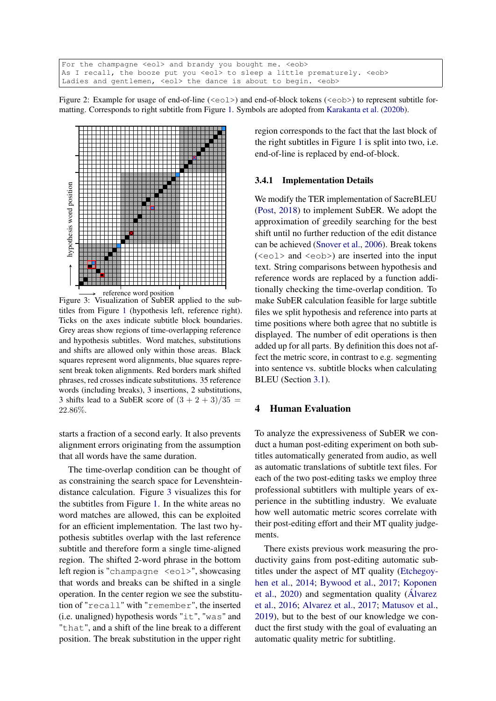```
For the champagne <eol> and brandy you bought me. <eob>
As I recall, the booze put you <eol> to sleep a little prematurely. <eob>
Ladies and gentlemen, <eol> the dance is about to begin. <eob>
```
Figure 2: Example for usage of end-of-line ( $\langle \text{eol}\rangle$ ) and end-of-block tokens ( $\langle \text{eol}\rangle$ ) to represent subtitle formatting. Corresponds to right subtitle from Figure [1.](#page-1-0) Symbols are adopted from [Karakanta et al.](#page-8-7) [\(2020b\)](#page-8-7).

<span id="page-3-1"></span>

reference word position

Figure 3: Visualization of SubER applied to the subtitles from Figure [1](#page-1-0) (hypothesis left, reference right). Ticks on the axes indicate subtitle block boundaries. Grey areas show regions of time-overlapping reference and hypothesis subtitles. Word matches, substitutions and shifts are allowed only within those areas. Black squares represent word alignments, blue squares represent break token alignments. Red borders mark shifted phrases, red crosses indicate substitutions. 35 reference words (including breaks), 3 insertions, 2 substitutions, 3 shifts lead to a SubER score of  $(3 + 2 + 3)/35 =$ 22.86%.

starts a fraction of a second early. It also prevents alignment errors originating from the assumption that all words have the same duration.

The time-overlap condition can be thought of as constraining the search space for Levenshteindistance calculation. Figure [3](#page-3-1) visualizes this for the subtitles from Figure [1.](#page-1-0) In the white areas no word matches are allowed, this can be exploited for an efficient implementation. The last two hypothesis subtitles overlap with the last reference subtitle and therefore form a single time-aligned region. The shifted 2-word phrase in the bottom left region is "champagne <eol>", showcasing that words and breaks can be shifted in a single operation. In the center region we see the substitution of "recall" with "remember", the inserted (i.e. unaligned) hypothesis words "it", "was" and "that", and a shift of the line break to a different position. The break substitution in the upper right

region corresponds to the fact that the last block of the right subtitles in Figure [1](#page-1-0) is split into two, i.e. end-of-line is replaced by end-of-block.

#### 3.4.1 Implementation Details

We modify the TER implementation of SacreBLEU [\(Post,](#page-8-11) [2018\)](#page-8-11) to implement SubER. We adopt the approximation of greedily searching for the best shift until no further reduction of the edit distance can be achieved [\(Snover et al.,](#page-9-0) [2006\)](#page-9-0). Break tokens (<eol> and <eob>) are inserted into the input text. String comparisons between hypothesis and reference words are replaced by a function additionally checking the time-overlap condition. To make SubER calculation feasible for large subtitle files we split hypothesis and reference into parts at time positions where both agree that no subtitle is displayed. The number of edit operations is then added up for all parts. By definition this does not affect the metric score, in contrast to e.g. segmenting into sentence vs. subtitle blocks when calculating BLEU (Section [3.1\)](#page-1-2).

### 4 Human Evaluation

To analyze the expressiveness of SubER we conduct a human post-editing experiment on both subtitles automatically generated from audio, as well as automatic translations of subtitle text files. For each of the two post-editing tasks we employ three professional subtitlers with multiple years of experience in the subtitling industry. We evaluate how well automatic metric scores correlate with their post-editing effort and their MT quality judgements.

There exists previous work measuring the productivity gains from post-editing automatic subtitles under the aspect of MT quality [\(Etchegoy](#page-8-12)[hen et al.,](#page-8-12) [2014;](#page-8-12) [Bywood et al.,](#page-8-13) [2017;](#page-8-13) [Koponen](#page-8-14) [et al.,](#page-8-14) [2020\)](#page-8-14) and segmentation quality [\(Álvarez](#page-8-15) [et al.,](#page-8-15) [2016;](#page-8-15) [Alvarez et al.,](#page-8-6) [2017;](#page-8-6) [Matusov et al.,](#page-8-9) [2019\)](#page-8-9), but to the best of our knowledge we conduct the first study with the goal of evaluating an automatic quality metric for subtitling.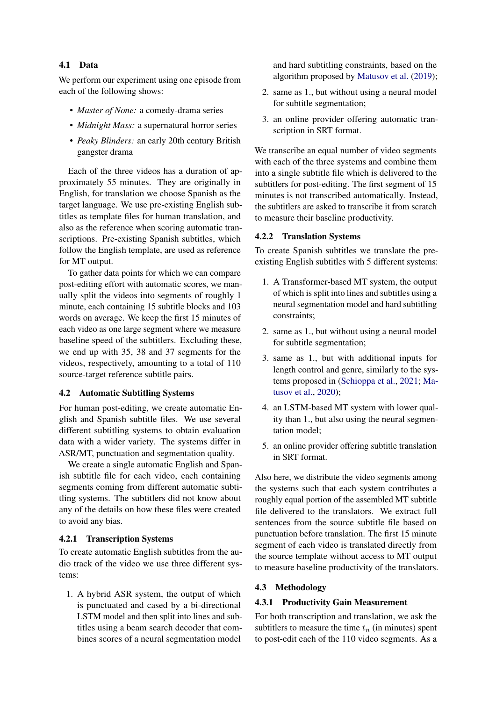## 4.1 Data

We perform our experiment using one episode from each of the following shows:

- *Master of None:* a comedy-drama series
- *Midnight Mass:* a supernatural horror series
- *Peaky Blinders:* an early 20th century British gangster drama

Each of the three videos has a duration of approximately 55 minutes. They are originally in English, for translation we choose Spanish as the target language. We use pre-existing English subtitles as template files for human translation, and also as the reference when scoring automatic transcriptions. Pre-existing Spanish subtitles, which follow the English template, are used as reference for MT output.

To gather data points for which we can compare post-editing effort with automatic scores, we manually split the videos into segments of roughly 1 minute, each containing 15 subtitle blocks and 103 words on average. We keep the first 15 minutes of each video as one large segment where we measure baseline speed of the subtitlers. Excluding these, we end up with 35, 38 and 37 segments for the videos, respectively, amounting to a total of 110 source-target reference subtitle pairs.

## 4.2 Automatic Subtitling Systems

For human post-editing, we create automatic English and Spanish subtitle files. We use several different subtitling systems to obtain evaluation data with a wider variety. The systems differ in ASR/MT, punctuation and segmentation quality.

We create a single automatic English and Spanish subtitle file for each video, each containing segments coming from different automatic subtitling systems. The subtitlers did not know about any of the details on how these files were created to avoid any bias.

#### 4.2.1 Transcription Systems

To create automatic English subtitles from the audio track of the video we use three different systems:

1. A hybrid ASR system, the output of which is punctuated and cased by a bi-directional LSTM model and then split into lines and subtitles using a beam search decoder that combines scores of a neural segmentation model

and hard subtitling constraints, based on the algorithm proposed by [Matusov et al.](#page-8-9) [\(2019\)](#page-8-9);

- 2. same as 1., but without using a neural model for subtitle segmentation;
- 3. an online provider offering automatic transcription in SRT format.

We transcribe an equal number of video segments with each of the three systems and combine them into a single subtitle file which is delivered to the subtitlers for post-editing. The first segment of 15 minutes is not transcribed automatically. Instead, the subtitlers are asked to transcribe it from scratch to measure their baseline productivity.

## 4.2.2 Translation Systems

To create Spanish subtitles we translate the preexisting English subtitles with 5 different systems:

- 1. A Transformer-based MT system, the output of which is split into lines and subtitles using a neural segmentation model and hard subtitling constraints;
- 2. same as 1., but without using a neural model for subtitle segmentation;
- 3. same as 1., but with additional inputs for length control and genre, similarly to the systems proposed in [\(Schioppa et al.,](#page-9-4) [2021;](#page-9-4) [Ma](#page-8-16)[tusov et al.,](#page-8-16) [2020\)](#page-8-16);
- 4. an LSTM-based MT system with lower quality than 1., but also using the neural segmentation model;
- 5. an online provider offering subtitle translation in SRT format.

Also here, we distribute the video segments among the systems such that each system contributes a roughly equal portion of the assembled MT subtitle file delivered to the translators. We extract full sentences from the source subtitle file based on punctuation before translation. The first 15 minute segment of each video is translated directly from the source template without access to MT output to measure baseline productivity of the translators.

### 4.3 Methodology

#### 4.3.1 Productivity Gain Measurement

For both transcription and translation, we ask the subtitlers to measure the time  $t_n$  (in minutes) spent to post-edit each of the 110 video segments. As a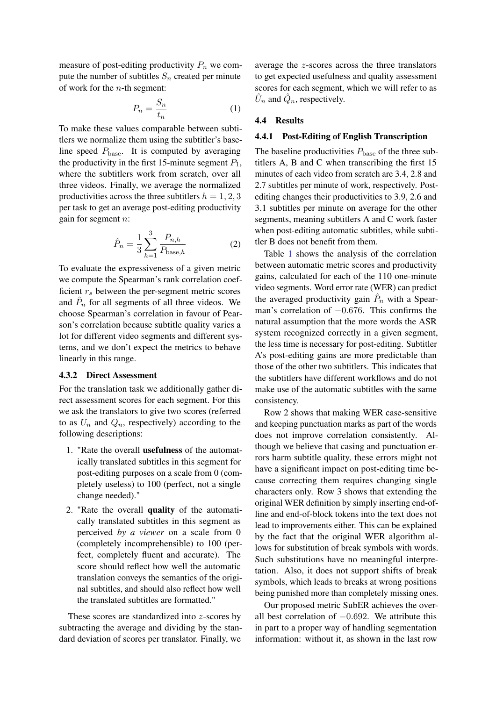measure of post-editing productivity  $P_n$  we compute the number of subtitles  $S_n$  created per minute of work for the  $n$ -th segment:

$$
P_n = \frac{S_n}{t_n} \tag{1}
$$

To make these values comparable between subtitlers we normalize them using the subtitler's baseline speed  $P_{\text{base}}$ . It is computed by averaging the productivity in the first 15-minute segment  $P_1$ , where the subtitlers work from scratch, over all three videos. Finally, we average the normalized productivities across the three subtitlers  $h = 1, 2, 3$ per task to get an average post-editing productivity gain for segment n:

$$
\hat{P}_n = \frac{1}{3} \sum_{h=1}^{3} \frac{P_{n,h}}{P_{\text{base},h}} \tag{2}
$$

To evaluate the expressiveness of a given metric we compute the Spearman's rank correlation coefficient  $r<sub>s</sub>$  between the per-segment metric scores and  $\hat{P}_n$  for all segments of all three videos. We choose Spearman's correlation in favour of Pearson's correlation because subtitle quality varies a lot for different video segments and different systems, and we don't expect the metrics to behave linearly in this range.

#### <span id="page-5-0"></span>4.3.2 Direct Assessment

For the translation task we additionally gather direct assessment scores for each segment. For this we ask the translators to give two scores (referred to as  $U_n$  and  $Q_n$ , respectively) according to the following descriptions:

- 1. "Rate the overall usefulness of the automatically translated subtitles in this segment for post-editing purposes on a scale from 0 (completely useless) to 100 (perfect, not a single change needed)."
- 2. "Rate the overall quality of the automatically translated subtitles in this segment as perceived *by a viewer* on a scale from 0 (completely incomprehensible) to 100 (perfect, completely fluent and accurate). The score should reflect how well the automatic translation conveys the semantics of the original subtitles, and should also reflect how well the translated subtitles are formatted."

These scores are standardized into z-scores by subtracting the average and dividing by the standard deviation of scores per translator. Finally, we

average the z-scores across the three translators to get expected usefulness and quality assessment scores for each segment, which we will refer to as  $\hat{U}_n$  and  $\hat{Q}_n$ , respectively.

#### 4.4 Results

### 4.4.1 Post-Editing of English Transcription

The baseline productivities  $P_{base}$  of the three subtitlers A, B and C when transcribing the first 15 minutes of each video from scratch are 3.4, 2.8 and 2.7 subtitles per minute of work, respectively. Postediting changes their productivities to 3.9, 2.6 and 3.1 subtitles per minute on average for the other segments, meaning subtitlers A and C work faster when post-editing automatic subtitles, while subtitler B does not benefit from them.

Table [1](#page-6-0) shows the analysis of the correlation between automatic metric scores and productivity gains, calculated for each of the 110 one-minute video segments. Word error rate (WER) can predict the averaged productivity gain  $\hat{P}_n$  with a Spearman's correlation of −0.676. This confirms the natural assumption that the more words the ASR system recognized correctly in a given segment, the less time is necessary for post-editing. Subtitler A's post-editing gains are more predictable than those of the other two subtitlers. This indicates that the subtitlers have different workflows and do not make use of the automatic subtitles with the same consistency.

Row 2 shows that making WER case-sensitive and keeping punctuation marks as part of the words does not improve correlation consistently. Although we believe that casing and punctuation errors harm subtitle quality, these errors might not have a significant impact on post-editing time because correcting them requires changing single characters only. Row 3 shows that extending the original WER definition by simply inserting end-ofline and end-of-block tokens into the text does not lead to improvements either. This can be explained by the fact that the original WER algorithm allows for substitution of break symbols with words. Such substitutions have no meaningful interpretation. Also, it does not support shifts of break symbols, which leads to breaks at wrong positions being punished more than completely missing ones.

Our proposed metric SubER achieves the overall best correlation of  $-0.692$ . We attribute this in part to a proper way of handling segmentation information: without it, as shown in the last row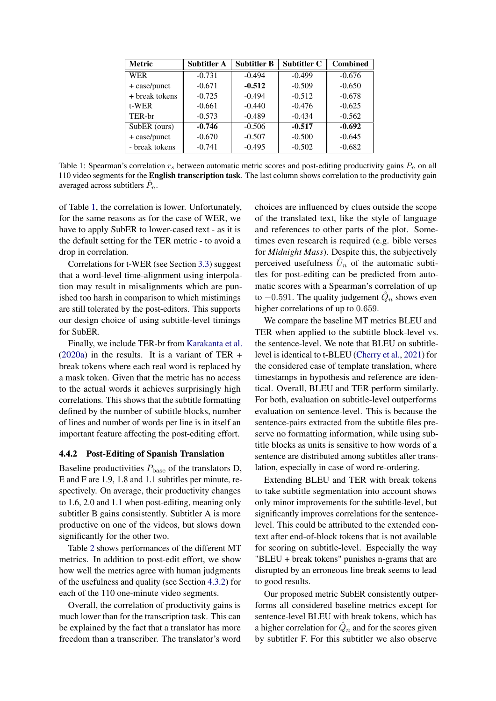<span id="page-6-0"></span>

| <b>Metric</b>  | <b>Subtitler A</b> | <b>Subtitler B</b> | <b>Subtitler C</b> | <b>Combined</b> |
|----------------|--------------------|--------------------|--------------------|-----------------|
| <b>WER</b>     | $-0.731$           | $-0.494$           | $-0.499$           | $-0.676$        |
| + case/punct   | $-0.671$           | $-0.512$           | $-0.509$           | $-0.650$        |
| + break tokens | $-0.725$           | $-0.494$           | $-0.512$           | $-0.678$        |
| $t-WER$        | $-0.661$           | $-0.440$           | $-0.476$           | $-0.625$        |
| TER-br         | $-0.573$           | $-0.489$           | $-0.434$           | $-0.562$        |
| SubER (ours)   | $-0.746$           | $-0.506$           | $-0.517$           | $-0.692$        |
| + case/punct   | $-0.670$           | $-0.507$           | $-0.500$           | $-0.645$        |
| - break tokens | $-0.741$           | $-0.495$           | $-0.502$           | $-0.682$        |

Table 1: Spearman's correlation  $r_s$  between automatic metric scores and post-editing productivity gains  $P_n$  on all 110 video segments for the English transcription task. The last column shows correlation to the productivity gain averaged across subtitlers  $\hat{P}_n$ .

of Table [1,](#page-6-0) the correlation is lower. Unfortunately, for the same reasons as for the case of WER, we have to apply SubER to lower-cased text - as it is the default setting for the TER metric - to avoid a drop in correlation.

Correlations for t-WER (see Section [3.3\)](#page-2-0) suggest that a word-level time-alignment using interpolation may result in misalignments which are punished too harsh in comparison to which mistimings are still tolerated by the post-editors. This supports our design choice of using subtitle-level timings for SubER.

Finally, we include TER-br from [Karakanta et al.](#page-8-4)  $(2020a)$  in the results. It is a variant of TER + break tokens where each real word is replaced by a mask token. Given that the metric has no access to the actual words it achieves surprisingly high correlations. This shows that the subtitle formatting defined by the number of subtitle blocks, number of lines and number of words per line is in itself an important feature affecting the post-editing effort.

### 4.4.2 Post-Editing of Spanish Translation

Baseline productivities  $P_{base}$  of the translators D, E and F are 1.9, 1.8 and 1.1 subtitles per minute, respectively. On average, their productivity changes to 1.6, 2.0 and 1.1 when post-editing, meaning only subtitler B gains consistently. Subtitler A is more productive on one of the videos, but slows down significantly for the other two.

Table [2](#page-7-0) shows performances of the different MT metrics. In addition to post-edit effort, we show how well the metrics agree with human judgments of the usefulness and quality (see Section [4.3.2\)](#page-5-0) for each of the 110 one-minute video segments.

Overall, the correlation of productivity gains is much lower than for the transcription task. This can be explained by the fact that a translator has more freedom than a transcriber. The translator's word choices are influenced by clues outside the scope of the translated text, like the style of language and references to other parts of the plot. Sometimes even research is required (e.g. bible verses for *Midnight Mass*). Despite this, the subjectively perceived usefulness  $\hat{U}_n$  of the automatic subtitles for post-editing can be predicted from automatic scores with a Spearman's correlation of up to  $-0.591$ . The quality judgement  $\hat{Q}_n$  shows even higher correlations of up to 0.659.

We compare the baseline MT metrics BLEU and TER when applied to the subtitle block-level vs. the sentence-level. We note that BLEU on subtitlelevel is identical to t-BLEU [\(Cherry et al.,](#page-8-10) [2021\)](#page-8-10) for the considered case of template translation, where timestamps in hypothesis and reference are identical. Overall, BLEU and TER perform similarly. For both, evaluation on subtitle-level outperforms evaluation on sentence-level. This is because the sentence-pairs extracted from the subtitle files preserve no formatting information, while using subtitle blocks as units is sensitive to how words of a sentence are distributed among subtitles after translation, especially in case of word re-ordering.

Extending BLEU and TER with break tokens to take subtitle segmentation into account shows only minor improvements for the subtitle-level, but significantly improves correlations for the sentencelevel. This could be attributed to the extended context after end-of-block tokens that is not available for scoring on subtitle-level. Especially the way "BLEU + break tokens" punishes n-grams that are disrupted by an erroneous line break seems to lead to good results.

Our proposed metric SubER consistently outperforms all considered baseline metrics except for sentence-level BLEU with break tokens, which has a higher correlation for  $\hat{Q}_n$  and for the scores given by subtitler F. For this subtitler we also observe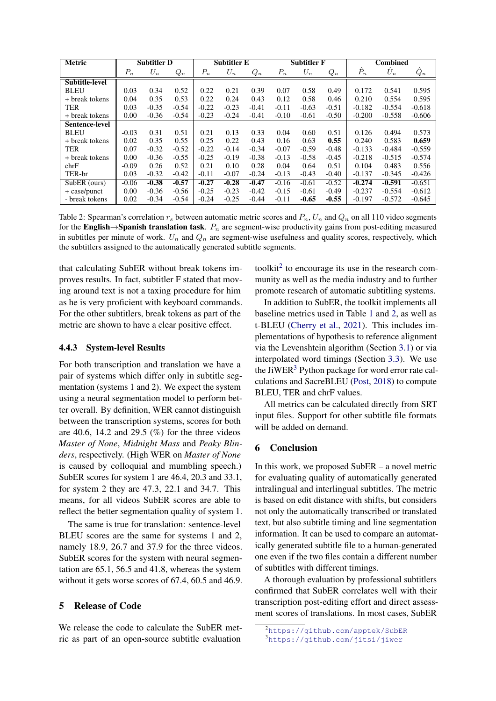<span id="page-7-0"></span>

| <b>Metric</b>         | <b>Subtitler D</b> |         | <b>Subtitler E</b> |         | <b>Subtitler F</b> |         | <b>Combined</b> |         |         |              |             |          |
|-----------------------|--------------------|---------|--------------------|---------|--------------------|---------|-----------------|---------|---------|--------------|-------------|----------|
|                       | $P_n$              | $U_n$   | $Q_n$              | $P_n$   | $U_n$              | $Q_n$   | $P_n$           | $U_n$   | $Q_n$   | $\ddot{P}_n$ | $\hat{U}_n$ | $Q_n$    |
| <b>Subtitle-level</b> |                    |         |                    |         |                    |         |                 |         |         |              |             |          |
| <b>BLEU</b>           | 0.03               | 0.34    | 0.52               | 0.22    | 0.21               | 0.39    | 0.07            | 0.58    | 0.49    | 0.172        | 0.541       | 0.595    |
| + break tokens        | 0.04               | 0.35    | 0.53               | 0.22    | 0.24               | 0.43    | 0.12            | 0.58    | 0.46    | 0.210        | 0.554       | 0.595    |
| <b>TER</b>            | 0.03               | $-0.35$ | $-0.54$            | $-0.22$ | $-0.23$            | $-0.41$ | $-0.11$         | $-0.63$ | $-0.51$ | $-0.182$     | $-0.554$    | $-0.618$ |
| + break tokens        | 0.00               | $-0.36$ | $-0.54$            | $-0.23$ | $-0.24$            | $-0.41$ | $-0.10$         | $-0.61$ | $-0.50$ | $-0.200$     | $-0.558$    | $-0.606$ |
| Sentence-level        |                    |         |                    |         |                    |         |                 |         |         |              |             |          |
| <b>BLEU</b>           | $-0.03$            | 0.31    | 0.51               | 0.21    | 0.13               | 0.33    | 0.04            | 0.60    | 0.51    | 0.126        | 0.494       | 0.573    |
| + break tokens        | 0.02               | 0.35    | 0.55               | 0.25    | 0.22               | 0.43    | 0.16            | 0.63    | 0.55    | 0.240        | 0.583       | 0.659    |
| <b>TER</b>            | 0.07               | $-0.32$ | $-0.52$            | $-0.22$ | $-0.14$            | $-0.34$ | $-0.07$         | $-0.59$ | $-0.48$ | $-0.133$     | $-0.484$    | $-0.559$ |
| + break tokens        | 0.00               | $-0.36$ | $-0.55$            | $-0.25$ | $-0.19$            | $-0.38$ | $-0.13$         | $-0.58$ | $-0.45$ | $-0.218$     | $-0.515$    | $-0.574$ |
| chrF                  | $-0.09$            | 0.26    | 0.52               | 0.21    | 0.10               | 0.28    | 0.04            | 0.64    | 0.51    | 0.104        | 0.483       | 0.556    |
| TER-br                | 0.03               | $-0.32$ | $-0.42$            | $-0.11$ | $-0.07$            | $-0.24$ | $-0.13$         | $-0.43$ | $-0.40$ | $-0.137$     | $-0.345$    | $-0.426$ |
| SubER (ours)          | $-0.06$            | $-0.38$ | $-0.57$            | $-0.27$ | $-0.28$            | $-0.47$ | $-0.16$         | $-0.61$ | $-0.52$ | $-0.274$     | $-0.591$    | $-0.651$ |
| $+$ case/punct        | 0.00               | $-0.36$ | $-0.56$            | $-0.25$ | $-0.23$            | $-0.42$ | $-0.15$         | $-0.61$ | $-0.49$ | $-0.237$     | $-0.554$    | $-0.612$ |
| - break tokens        | 0.02               | $-0.34$ | $-0.54$            | $-0.24$ | $-0.25$            | $-0.44$ | $-0.11$         | $-0.65$ | $-0.55$ | $-0.197$     | $-0.572$    | $-0.645$ |

Table 2: Spearman's correlation  $r_s$  between automatic metric scores and  $P_n$ ,  $U_n$  and  $Q_n$  on all 110 video segments for the English→Spanish translation task.  $P_n$  are segment-wise productivity gains from post-editing measured in subtitles per minute of work.  $U_n$  and  $Q_n$  are segment-wise usefulness and quality scores, respectively, which the subtitlers assigned to the automatically generated subtitle segments.

that calculating SubER without break tokens improves results. In fact, subtitler F stated that moving around text is not a taxing procedure for him as he is very proficient with keyboard commands. For the other subtitlers, break tokens as part of the metric are shown to have a clear positive effect.

### 4.4.3 System-level Results

For both transcription and translation we have a pair of systems which differ only in subtitle segmentation (systems 1 and 2). We expect the system using a neural segmentation model to perform better overall. By definition, WER cannot distinguish between the transcription systems, scores for both are 40.6, 14.2 and 29.5  $(\%)$  for the three videos *Master of None*, *Midnight Mass* and *Peaky Blinders*, respectively. (High WER on *Master of None* is caused by colloquial and mumbling speech.) SubER scores for system 1 are 46.4, 20.3 and 33.1, for system 2 they are 47.3, 22.1 and 34.7. This means, for all videos SubER scores are able to reflect the better segmentation quality of system 1.

The same is true for translation: sentence-level BLEU scores are the same for systems 1 and 2, namely 18.9, 26.7 and 37.9 for the three videos. SubER scores for the system with neural segmentation are 65.1, 56.5 and 41.8, whereas the system without it gets worse scores of 67.4, 60.5 and 46.9.

## 5 Release of Code

We release the code to calculate the SubER metric as part of an open-source subtitle evaluation

toolkit<sup>[2](#page-7-1)</sup> to encourage its use in the research community as well as the media industry and to further promote research of automatic subtitling systems.

In addition to SubER, the toolkit implements all baseline metrics used in Table [1](#page-6-0) and [2,](#page-7-0) as well as t-BLEU [\(Cherry et al.,](#page-8-10) [2021\)](#page-8-10). This includes implementations of hypothesis to reference alignment via the Levenshtein algorithm (Section [3.1\)](#page-1-2) or via interpolated word timings (Section [3.3\)](#page-2-0). We use the JiWER<sup>[3](#page-7-2)</sup> Python package for word error rate calculations and SacreBLEU [\(Post,](#page-8-11) [2018\)](#page-8-11) to compute BLEU, TER and chrF values.

All metrics can be calculated directly from SRT input files. Support for other subtitle file formats will be added on demand.

### 6 Conclusion

In this work, we proposed SubER – a novel metric for evaluating quality of automatically generated intralingual and interlingual subtitles. The metric is based on edit distance with shifts, but considers not only the automatically transcribed or translated text, but also subtitle timing and line segmentation information. It can be used to compare an automatically generated subtitle file to a human-generated one even if the two files contain a different number of subtitles with different timings.

A thorough evaluation by professional subtitlers confirmed that SubER correlates well with their transcription post-editing effort and direct assessment scores of translations. In most cases, SubER

<span id="page-7-1"></span><sup>2</sup><https://github.com/apptek/SubER>

<span id="page-7-2"></span><sup>3</sup><https://github.com/jitsi/jiwer>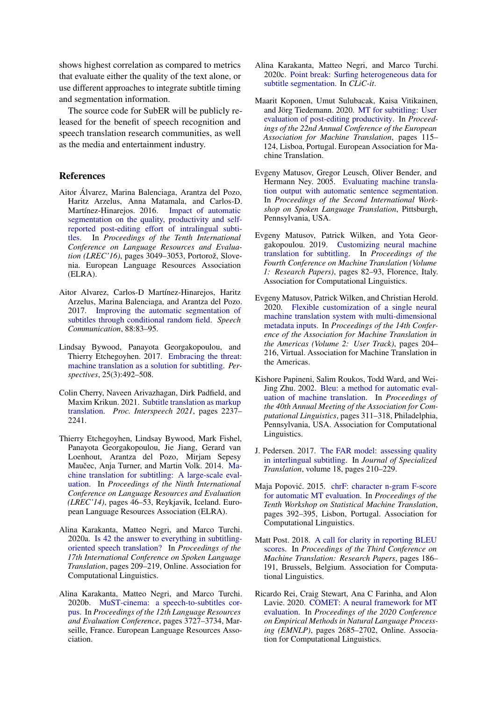shows highest correlation as compared to metrics that evaluate either the quality of the text alone, or use different approaches to integrate subtitle timing and segmentation information.

The source code for SubER will be publicly released for the benefit of speech recognition and speech translation research communities, as well as the media and entertainment industry.

### References

- <span id="page-8-15"></span>Aitor Álvarez, Marina Balenciaga, Arantza del Pozo, Haritz Arzelus, Anna Matamala, and Carlos-D. Martínez-Hinarejos. 2016. [segmentation on the quality, productivity and self](https://aclanthology.org/L16-1487)[reported post-editing effort of intralingual subti](https://aclanthology.org/L16-1487)[tles.](https://aclanthology.org/L16-1487) In *Proceedings of the Tenth International Conference on Language Resources and Evaluation (LREC'16)*, pages 3049–3053, Portorož, Slovenia. European Language Resources Association (ELRA).
- <span id="page-8-6"></span>Aitor Alvarez, Carlos-D Martínez-Hinarejos, Haritz Arzelus, Marina Balenciaga, and Arantza del Pozo. 2017. [Improving the automatic segmentation of](https://riunet.upv.es/bitstream/handle/10251/104008/Improving_the_Automatic_Segmentation_of_Subtitles.pdf) [subtitles through conditional random field.](https://riunet.upv.es/bitstream/handle/10251/104008/Improving_the_Automatic_Segmentation_of_Subtitles.pdf) *Speech Communication*, 88:83–95.
- <span id="page-8-13"></span>Lindsay Bywood, Panayota Georgakopoulou, and Thierry Etchegoyhen. 2017. [Embracing the threat:](https://westminsterresearch.westminster.ac.uk/download/9a38cde4c5b97fdc82bb0f267bdd136e7a7610d2a08b9e25bf6c952e71f71399/191070/Bywood%20et%20al.%20OK.pdf) [machine translation as a solution for subtitling.](https://westminsterresearch.westminster.ac.uk/download/9a38cde4c5b97fdc82bb0f267bdd136e7a7610d2a08b9e25bf6c952e71f71399/191070/Bywood%20et%20al.%20OK.pdf) *Perspectives*, 25(3):492–508.
- <span id="page-8-10"></span>Colin Cherry, Naveen Arivazhagan, Dirk Padfield, and Maxim Krikun. 2021. [Subtitle translation as markup](https://www.isca-speech.org/archive/pdfs/interspeech_2021/cherry21_interspeech.pdf) [translation.](https://www.isca-speech.org/archive/pdfs/interspeech_2021/cherry21_interspeech.pdf) *Proc. Interspeech 2021*, pages 2237– 2241.
- <span id="page-8-12"></span>Thierry Etchegoyhen, Lindsay Bywood, Mark Fishel, Panayota Georgakopoulou, Jie Jiang, Gerard van Loenhout, Arantza del Pozo, Mirjam Sepesy Maučec, Anja Turner, and Martin Volk. 2014. [Ma](http://www.lrec-conf.org/proceedings/lrec2014/pdf/463_Paper.pdf)[chine translation for subtitling: A large-scale eval](http://www.lrec-conf.org/proceedings/lrec2014/pdf/463_Paper.pdf)[uation.](http://www.lrec-conf.org/proceedings/lrec2014/pdf/463_Paper.pdf) In *Proceedings of the Ninth International Conference on Language Resources and Evaluation (LREC'14)*, pages 46–53, Reykjavik, Iceland. European Language Resources Association (ELRA).
- <span id="page-8-4"></span>Alina Karakanta, Matteo Negri, and Marco Turchi. 2020a. [Is 42 the answer to everything in subtitling](https://doi.org/10.18653/v1/2020.iwslt-1.26)[oriented speech translation?](https://doi.org/10.18653/v1/2020.iwslt-1.26) In *Proceedings of the 17th International Conference on Spoken Language Translation*, pages 209–219, Online. Association for Computational Linguistics.
- <span id="page-8-7"></span>Alina Karakanta, Matteo Negri, and Marco Turchi. 2020b. [MuST-cinema: a speech-to-subtitles cor](https://aclanthology.org/2020.lrec-1.460)[pus.](https://aclanthology.org/2020.lrec-1.460) In *Proceedings of the 12th Language Resources and Evaluation Conference*, pages 3727–3734, Marseille, France. European Language Resources Association.
- <span id="page-8-8"></span>Alina Karakanta, Matteo Negri, and Marco Turchi. 2020c. [Point break: Surfing heterogeneous data for](http://ceur-ws.org/Vol-2769/paper_78.pdf) [subtitle segmentation.](http://ceur-ws.org/Vol-2769/paper_78.pdf) In *CLiC-it*.
- <span id="page-8-14"></span>Maarit Koponen, Umut Sulubacak, Kaisa Vitikainen, and Jörg Tiedemann. 2020. [MT for subtitling: User](https://aclanthology.org/2020.eamt-1.13) [evaluation of post-editing productivity.](https://aclanthology.org/2020.eamt-1.13) In *Proceedings of the 22nd Annual Conference of the European Association for Machine Translation*, pages 115– 124, Lisboa, Portugal. European Association for Machine Translation.
- <span id="page-8-5"></span>Evgeny Matusov, Gregor Leusch, Oliver Bender, and Hermann Ney. 2005. [Evaluating machine transla](https://aclanthology.org/2005.iwslt-1.19)[tion output with automatic sentence segmentation.](https://aclanthology.org/2005.iwslt-1.19) In *Proceedings of the Second International Workshop on Spoken Language Translation*, Pittsburgh, Pennsylvania, USA.
- <span id="page-8-9"></span>Evgeny Matusov, Patrick Wilken, and Yota Georgakopoulou. 2019. [Customizing neural machine](https://doi.org/10.18653/v1/W19-5209) [translation for subtitling.](https://doi.org/10.18653/v1/W19-5209) In *Proceedings of the Fourth Conference on Machine Translation (Volume 1: Research Papers)*, pages 82–93, Florence, Italy. Association for Computational Linguistics.
- <span id="page-8-16"></span>Evgeny Matusov, Patrick Wilken, and Christian Herold. 2020. [Flexible customization of a single neural](https://aclanthology.org/2020.amta-user.10) [machine translation system with multi-dimensional](https://aclanthology.org/2020.amta-user.10) [metadata inputs.](https://aclanthology.org/2020.amta-user.10) In *Proceedings of the 14th Conference of the Association for Machine Translation in the Americas (Volume 2: User Track)*, pages 204– 216, Virtual. Association for Machine Translation in the Americas.
- <span id="page-8-0"></span>Kishore Papineni, Salim Roukos, Todd Ward, and Wei-Jing Zhu. 2002. [Bleu: a method for automatic eval](https://doi.org/10.3115/1073083.1073135)[uation of machine translation.](https://doi.org/10.3115/1073083.1073135) In *Proceedings of the 40th Annual Meeting of the Association for Computational Linguistics*, pages 311–318, Philadelphia, Pennsylvania, USA. Association for Computational Linguistics.
- <span id="page-8-3"></span>J. Pedersen. 2017. [The FAR model: assessing quality](https://www.jostrans.org/issue28/art_pedersen.pdf) [in interlingual subtitling.](https://www.jostrans.org/issue28/art_pedersen.pdf) In *Journal of Specialized Translation*, volume 18, pages 210–229.
- <span id="page-8-1"></span>Maja Popović. 2015. [chrF: character n-gram F-score](https://doi.org/10.18653/v1/W15-3049) [for automatic MT evaluation.](https://doi.org/10.18653/v1/W15-3049) In *Proceedings of the Tenth Workshop on Statistical Machine Translation*, pages 392–395, Lisbon, Portugal. Association for Computational Linguistics.
- <span id="page-8-11"></span>Matt Post. 2018. [A call for clarity in reporting BLEU](https://doi.org/10.18653/v1/W18-6319) [scores.](https://doi.org/10.18653/v1/W18-6319) In *Proceedings of the Third Conference on Machine Translation: Research Papers*, pages 186– 191, Brussels, Belgium. Association for Computational Linguistics.
- <span id="page-8-2"></span>Ricardo Rei, Craig Stewart, Ana C Farinha, and Alon Lavie. 2020. [COMET: A neural framework for MT](https://doi.org/10.18653/v1/2020.emnlp-main.213) [evaluation.](https://doi.org/10.18653/v1/2020.emnlp-main.213) In *Proceedings of the 2020 Conference on Empirical Methods in Natural Language Processing (EMNLP)*, pages 2685–2702, Online. Association for Computational Linguistics.